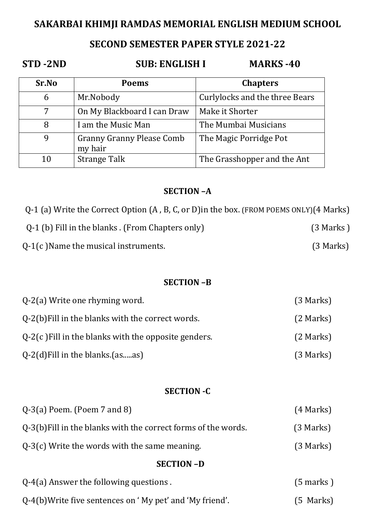## **SAKARBAI KHIMJI RAMDAS MEMORIAL ENGLISH MEDIUM SCHOOL**

## **SECOND SEMESTER PAPER STYLE 2021-22**

## **STD -2ND SUB: ENGLISH I MARKS -40**

| Sr.No | <b>Poems</b>                                | <b>Chapters</b>                       |
|-------|---------------------------------------------|---------------------------------------|
| 6     | Mr.Nobody                                   | <b>Curlylocks and the three Bears</b> |
| 7     | On My Blackboard I can Draw                 | Make it Shorter                       |
| 8     | I am the Music Man                          | The Mumbai Musicians                  |
| 9     | <b>Granny Granny Please Comb</b><br>my hair | The Magic Porridge Pot                |
| 10    | <b>Strange Talk</b>                         | The Grasshopper and the Ant           |

#### **SECTION –A**

Q-1 (a) Write the Correct Option (A , B, C, or D)in the box. (FROM POEMS ONLY)(4 Marks)

| Q-1 (b) Fill in the blanks . (From Chapters only) | $(3$ Marks) |
|---------------------------------------------------|-------------|
| $Q-1(c)$ Name the musical instruments.            | (3 Marks)   |

#### **SECTION –B**

| $Q-2(a)$ Write one rhyming word.                       | $(3$ Marks) |
|--------------------------------------------------------|-------------|
| Q-2(b) Fill in the blanks with the correct words.      | $(2$ Marks) |
| $Q-2(c)$ Fill in the blanks with the opposite genders. | $(2$ Marks) |
| $Q-2(d)$ Fill in the blanks.(asas)                     | (3 Marks)   |

#### **SECTION -C**

| $Q-3(a)$ Poem. (Poem 7 and 8)                                  | $(4$ Marks) |
|----------------------------------------------------------------|-------------|
| Q-3(b) Fill in the blanks with the correct forms of the words. | $(3$ Marks) |
| $Q-3(c)$ Write the words with the same meaning.                | $(3$ Marks) |

#### **SECTION –D**

| $Q-4(a)$ Answer the following questions.                   | $(5$ marks) |
|------------------------------------------------------------|-------------|
| $Q-4(b)$ Write five sentences on 'My pet' and 'My friend'. | (5 Marks)   |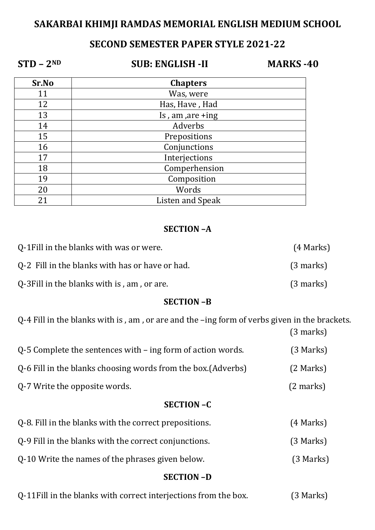# **SAKARBAI KHIMJI RAMDAS MEMORIAL ENGLISH MEDIUM SCHOOL**

# **SECOND SEMESTER PAPER STYLE 2021-22**

**STD – 2ND SUB: ENGLISH -II MARKS -40** 

| Sr.No | <b>Chapters</b>     |
|-------|---------------------|
| 11    | Was, were           |
| 12    | Has, Have, Had      |
| 13    | Is, am, $are + ing$ |
| 14    | Adverbs             |
| 15    | Prepositions        |
| 16    | Conjunctions        |
| 17    | Interjections       |
| 18    | Comperhension       |
| 19    | Composition         |
| 20    | Words               |
| 21    | Listen and Speak    |

#### **SECTION –A**

| Q-1 Fill in the blanks with was or were.        | $(4$ Marks)         |
|-------------------------------------------------|---------------------|
| Q-2 Fill in the blanks with has or have or had. | $(3 \text{ marks})$ |
| Q-3 Fill in the blanks with is, am, or are.     | $(3 \text{ marks})$ |

#### **SECTION –B**

Q-4 Fill in the blanks with is , am , or are and the –ing form of verbs given in the brackets. (3 marks)

| $Q-5$ Complete the sentences with $-$ ing form of action words. | $(3$ Marks)         |
|-----------------------------------------------------------------|---------------------|
| Q-6 Fill in the blanks choosing words from the box. (Adverbs)   | $(2$ Marks)         |
| Q-7 Write the opposite words.                                   | $(2 \text{ marks})$ |

#### **SECTION –C**

| Q-8. Fill in the blanks with the correct prepositions. | $(4$ Marks) |
|--------------------------------------------------------|-------------|
| 0-9 Fill in the blanks with the correct conjunctions.  | (3 Marks)   |
| 0-10 Write the names of the phrases given below.       | $(3$ Marks) |

#### **SECTION –D**

| Q-11 Fill in the blanks with correct interjections from the box. | (3 Marks) |
|------------------------------------------------------------------|-----------|
|------------------------------------------------------------------|-----------|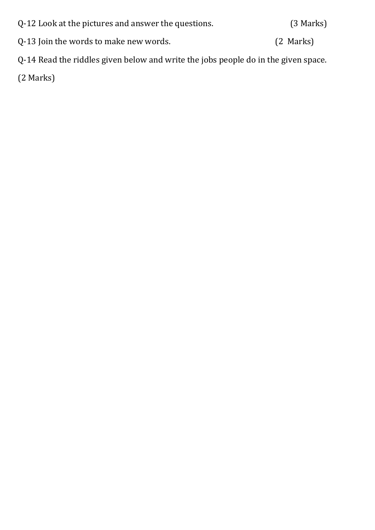| Q-12 Look at the pictures and answer the questions. | (3 Marks) |
|-----------------------------------------------------|-----------|
| Q-13 Join the words to make new words.              | (2 Marks) |

Q-14 Read the riddles given below and write the jobs people do in the given space.

(2 Marks)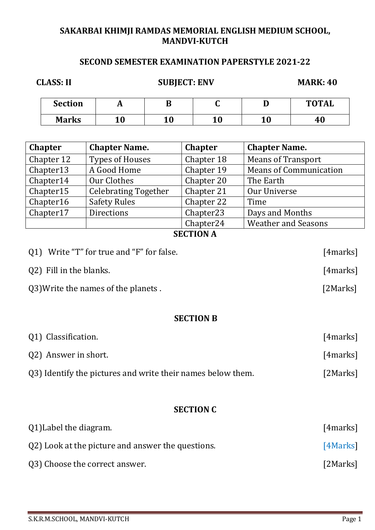### **SAKARBAI KHIMJI RAMDAS MEMORIAL ENGLISH MEDIUM SCHOOL, MANDVI-KUTCH**

## **SECOND SEMESTER EXAMINATION PAPERSTYLE 2021-22**

| <b>CLASS: II</b> |    | <b>SUBJECT: ENV</b> |    |    | <b>MARK: 40</b> |
|------------------|----|---------------------|----|----|-----------------|
| <b>Section</b>   | A  |                     |    |    | <b>TOTAL</b>    |
| <b>Marks</b>     | 10 | 10                  | 10 | 10 | 40              |

| <b>Chapter</b> | <b>Chapter Name.</b>        | <b>Chapter</b>        | <b>Chapter Name.</b>          |
|----------------|-----------------------------|-----------------------|-------------------------------|
| Chapter 12     | <b>Types of Houses</b>      | Chapter 18            | <b>Means of Transport</b>     |
| Chapter13      | A Good Home                 | Chapter 19            | <b>Means of Communication</b> |
| Chapter14      | Our Clothes                 | Chapter 20            | The Earth                     |
| Chapter15      | <b>Celebrating Together</b> | Chapter 21            | Our Universe                  |
| Chapter16      | <b>Safety Rules</b>         | Chapter 22            | Time                          |
| Chapter17      | <b>Directions</b>           | Chapter <sub>23</sub> | Days and Months               |
|                |                             | Chapter <sub>24</sub> | <b>Weather and Seasons</b>    |

## **SECTION A**

| Q1) Write "T" for true and "F" for false. | [4marks] |
|-------------------------------------------|----------|
| Q2) Fill in the blanks.                   | [4marks] |
| Q3) Write the names of the planets.       | [2Marks] |

#### **SECTION B**

| Q1) Classification.                                         | [4marks] |
|-------------------------------------------------------------|----------|
| Q2) Answer in short.                                        | [4marks] |
| Q3) Identify the pictures and write their names below them. | [2Marks] |

#### **SECTION C**

| Q1) Label the diagram.                            | [4marks] |
|---------------------------------------------------|----------|
| Q2) Look at the picture and answer the questions. | [4Marks] |
| Q3) Choose the correct answer.                    | [2Marks] |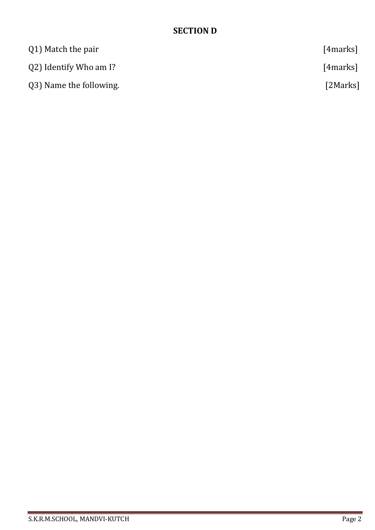## **SECTION D**

| Q1) Match the pair      | [4marks] |
|-------------------------|----------|
| Q2) Identify Who am I?  | [4marks] |
| Q3) Name the following. | [2Marks] |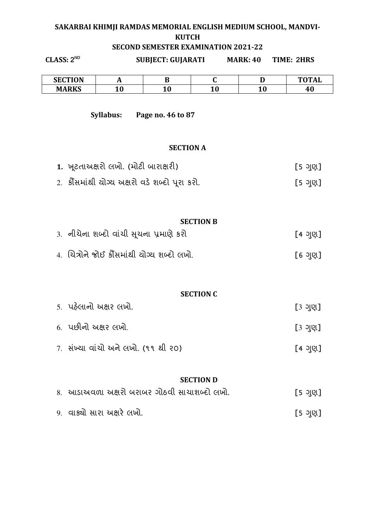#### **SAKARBAI KHIMJI RAMDAS MEMORIAL ENGLISH MEDIUM SCHOOL, MANDVI-KUTCH SECOND SEMESTER EXAMINATION 2021-22**

| CLASS: 2 <sup>ND</sup>                        |                                            | <b>SUBJECT: GUJARATI</b> |                  | <b>MARK: 40</b> | <b>TIME: 2HRS</b> |
|-----------------------------------------------|--------------------------------------------|--------------------------|------------------|-----------------|-------------------|
| <b>SECTION</b>                                | A                                          | B                        | $\mathbf C$      | D               | <b>TOTAL</b>      |
| <b>MARKS</b>                                  | 10                                         | 10                       | 10               | 10              | 40                |
|                                               | Syllabus:                                  | Page no. 46 to 87        |                  |                 |                   |
|                                               |                                            | <b>SECTION A</b>         |                  |                 |                   |
|                                               | 1. ખૂટતાઅક્ષરો લખો. (મોટી બારાક્ષરી)       |                          |                  |                 | [5 ગુણ]           |
| 2. કોંસમાંથી યોગ્ય અક્ષરો વડે શબ્દો પૂરા કરો. |                                            |                          | [5 ગુણ]          |                 |                   |
|                                               |                                            |                          |                  |                 |                   |
|                                               |                                            |                          | <b>SECTION B</b> |                 |                   |
|                                               | 3. નીચેના શબ્દો વાંચી સૂચના પ્રમાણે કરો    |                          |                  |                 | [4 ગુણ]           |
|                                               | 4. ચિત્રોને જોઈ કૌંસમાંથી ચોગ્ય શબ્દો લખો. |                          |                  |                 | [6 ગુણ]           |
|                                               |                                            |                          | <b>SECTION C</b> |                 |                   |
|                                               | 5. પહેલાનો અક્ષર લખો.                      |                          |                  |                 | [3 ગુણ]           |

| 6.  પછીનો અક્ષર લખો.                | [3 ગુણ] |
|-------------------------------------|---------|
| 7. સંખ્યા વાંચો અને લખો. (૧૧ થી ૨૦) | [4 ગુણ] |

#### **SECTION D**

| 8. આડાઅવળા અક્ષરો બરાબર ગોઠવી સાચાશબ્દો લખો. | [5 ગુણ] |
|----------------------------------------------|---------|
| 9. વાક્યો સારા અક્ષરે લખો.                   | [5 ગુણ] |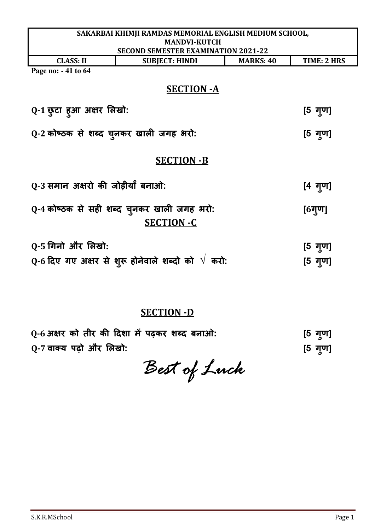| SAKARBAI KHIMJI RAMDAS MEMORIAL ENGLISH MEDIUM SCHOOL,              |                                            |                  |                   |  |  |
|---------------------------------------------------------------------|--------------------------------------------|------------------|-------------------|--|--|
|                                                                     | <b>MANDVI-KUTCH</b>                        |                  |                   |  |  |
|                                                                     | <b>SECOND SEMESTER EXAMINATION 2021-22</b> |                  |                   |  |  |
| <b>CLASS: II</b>                                                    | <b>SUBJECT: HINDI</b>                      | <b>MARKS: 40</b> | TIME: 2 HRS       |  |  |
| Page no: - 41 to 64                                                 |                                            |                  |                   |  |  |
|                                                                     | <b>SECTION - A</b>                         |                  |                   |  |  |
|                                                                     |                                            |                  |                   |  |  |
| Q-1 छुटा हुआ अक्षर लिखो:                                            |                                            |                  | $[5 \t{q}$ ण]     |  |  |
|                                                                     |                                            |                  |                   |  |  |
| Q-2 कोष्ठक से शब्द चुनकर खाली जगह भरो:                              |                                            |                  | $[5 \frac{1}{2}]$ |  |  |
|                                                                     |                                            |                  |                   |  |  |
|                                                                     |                                            |                  |                   |  |  |
| <b>SECTION -B</b>                                                   |                                            |                  |                   |  |  |
|                                                                     |                                            |                  |                   |  |  |
| Q-3 समान अक्षरो की जोड़ीर्यां बनाओ:                                 |                                            |                  | [4 गुण]           |  |  |
|                                                                     |                                            |                  |                   |  |  |
| Q-4 कोष्ठक से सही शब्द चुनकर खाली जगह भरो:                          |                                            |                  | $[6$ गुण]         |  |  |
|                                                                     | <b>SECTION -C</b>                          |                  |                   |  |  |
|                                                                     |                                            |                  |                   |  |  |
| Q-5 गिनो और लिखो:                                                   |                                            |                  | [5 गुण]           |  |  |
|                                                                     |                                            |                  |                   |  |  |
| $\bf{Q}$ -6 दिए गए अक्षर से शुरू होनेवाले शब्दो को $\sqrt{\,}$ करो: |                                            |                  | [5 गृण]           |  |  |

# **SECTION -D**

| 0-6 अक्षर को तीर की दिशा में पढ़कर शब्द बनाओ: | [5 ग्ण] |
|-----------------------------------------------|---------|
| Q-7 वाक्य पढ़ो और लिखो:                       | [5 गुण] |

*Best of Luck*